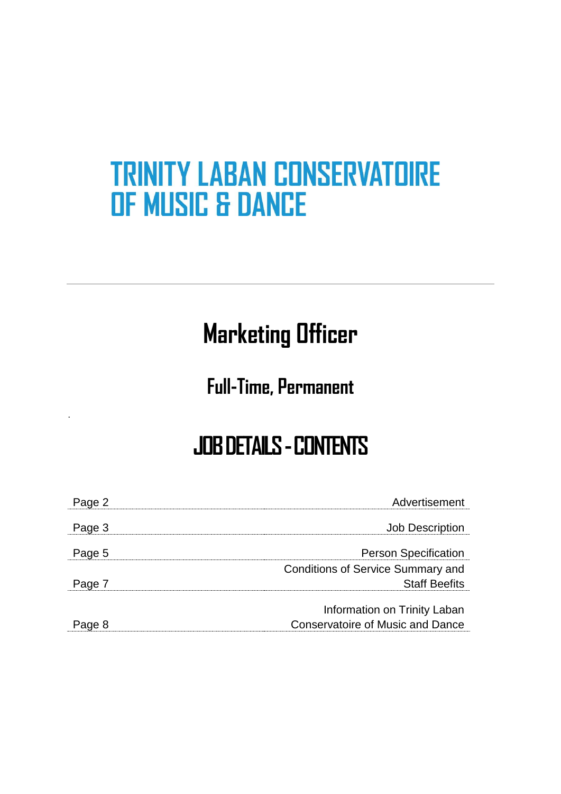# **TRINITY LABAN CONSERVATOIRE OF MUSIC & DANCE**

# **Marketing Officer**

## **Full-Time, Permanent**

.

# **JOB DETAILS -CONTENTS**

| Page 2 | Advertisement                            |
|--------|------------------------------------------|
| Page 3 | <b>Job Description</b>                   |
| Page 5 | <b>Person Specification</b>              |
|        | <b>Conditions of Service Summary and</b> |
| Page 7 | <b>Staff Beefits</b>                     |
|        | Information on Trinity Laban             |
| Page 8 | <b>Conservatoire of Music and Dance</b>  |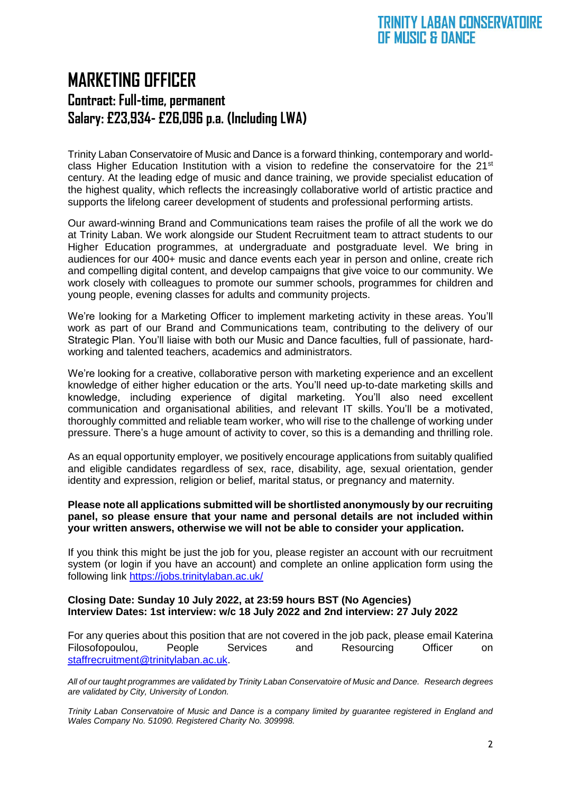## **MARKETING OFFICER Contract: Full-time, permanent Salary: £23,934- £26,096 p.a. (Including LWA)**

Trinity Laban Conservatoire of Music and Dance is a forward thinking, contemporary and worldclass Higher Education Institution with a vision to redefine the conservatoire for the  $21<sup>st</sup>$ century. At the leading edge of music and dance training, we provide specialist education of the highest quality, which reflects the increasingly collaborative world of artistic practice and supports the lifelong career development of students and professional performing artists.

Our award-winning Brand and Communications team raises the profile of all the work we do at Trinity Laban. We work alongside our Student Recruitment team to attract students to our Higher Education programmes, at undergraduate and postgraduate level. We bring in audiences for our 400+ music and dance events each year in person and online, create rich and compelling digital content, and develop campaigns that give voice to our community. We work closely with colleagues to promote our summer schools, programmes for children and young people, evening classes for adults and community projects.

We're looking for a Marketing Officer to implement marketing activity in these areas. You'll work as part of our Brand and Communications team, contributing to the delivery of our Strategic Plan. You'll liaise with both our Music and Dance faculties, full of passionate, hardworking and talented teachers, academics and administrators.

We're looking for a creative, collaborative person with marketing experience and an excellent knowledge of either higher education or the arts. You'll need up-to-date marketing skills and knowledge, including experience of digital marketing. You'll also need excellent communication and organisational abilities, and relevant IT skills. You'll be a motivated, thoroughly committed and reliable team worker, who will rise to the challenge of working under pressure. There's a huge amount of activity to cover, so this is a demanding and thrilling role.

As an equal opportunity employer, we positively encourage applications from suitably qualified and eligible candidates regardless of sex, race, disability, age, sexual orientation, gender identity and expression, religion or belief, marital status, or pregnancy and maternity.

#### **Please note all applications submitted will be shortlisted anonymously by our recruiting panel, so please ensure that your name and personal details are not included within your written answers, otherwise we will not be able to consider your application.**

If you think this might be just the job for you, please register an account with our recruitment system (or login if you have an account) and complete an online application form using the following link<https://jobs.trinitylaban.ac.uk/>

#### **Closing Date: Sunday 10 July 2022, at 23:59 hours BST (No Agencies) Interview Dates: 1st interview: w/c 18 July 2022 and 2nd interview: 27 July 2022**

For any queries about this position that are not covered in the job pack, please email Katerina Filosofopoulou, People Services and Resourcing Officer on [staffrecruitment@trinitylaban.ac.uk.](mailto:staffrecruitment@trinitylaban.ac.uk)

*All of our taught programmes are validated by Trinity Laban Conservatoire of Music and Dance. Research degrees are validated by City, University of London.*

*Trinity Laban Conservatoire of Music and Dance is a company limited by guarantee registered in England and Wales Company No. 51090. Registered Charity No. 309998.*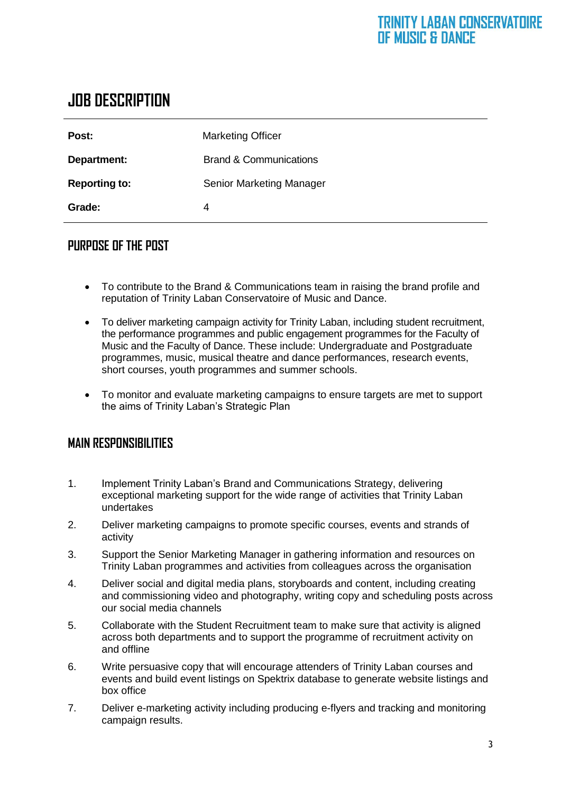## **JOB DESCRIPTION**

| Post:                | <b>Marketing Officer</b>          |
|----------------------|-----------------------------------|
| Department:          | <b>Brand &amp; Communications</b> |
| <b>Reporting to:</b> | <b>Senior Marketing Manager</b>   |
| Grade:               | 4                                 |

#### **PURPOSE OF THE POST**

- To contribute to the Brand & Communications team in raising the brand profile and reputation of Trinity Laban Conservatoire of Music and Dance.
- To deliver marketing campaign activity for Trinity Laban, including student recruitment, the performance programmes and public engagement programmes for the Faculty of Music and the Faculty of Dance. These include: Undergraduate and Postgraduate programmes, music, musical theatre and dance performances, research events, short courses, youth programmes and summer schools.
- To monitor and evaluate marketing campaigns to ensure targets are met to support the aims of Trinity Laban's Strategic Plan

#### **MAIN RESPONSIBILITIES**

- 1. Implement Trinity Laban's Brand and Communications Strategy, delivering exceptional marketing support for the wide range of activities that Trinity Laban undertakes
- 2. Deliver marketing campaigns to promote specific courses, events and strands of activity
- 3. Support the Senior Marketing Manager in gathering information and resources on Trinity Laban programmes and activities from colleagues across the organisation
- 4. Deliver social and digital media plans, storyboards and content, including creating and commissioning video and photography, writing copy and scheduling posts across our social media channels
- 5. Collaborate with the Student Recruitment team to make sure that activity is aligned across both departments and to support the programme of recruitment activity on and offline
- 6. Write persuasive copy that will encourage attenders of Trinity Laban courses and events and build event listings on Spektrix database to generate website listings and box office
- 7. Deliver e-marketing activity including producing e-flyers and tracking and monitoring campaign results.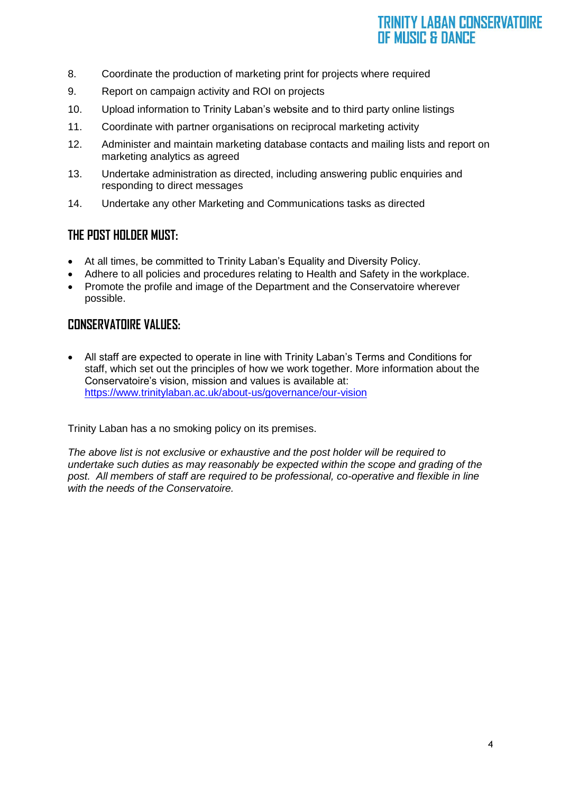#### **TRINITY LABAN CONSERVATOIRE** OF MUSIC & DANCE

- 8. Coordinate the production of marketing print for projects where required
- 9. Report on campaign activity and ROI on projects
- 10. Upload information to Trinity Laban's website and to third party online listings
- 11. Coordinate with partner organisations on reciprocal marketing activity
- 12. Administer and maintain marketing database contacts and mailing lists and report on marketing analytics as agreed
- 13. Undertake administration as directed, including answering public enquiries and responding to direct messages
- 14. Undertake any other Marketing and Communications tasks as directed

#### **THE POST HOLDER MUST:**

- At all times, be committed to Trinity Laban's Equality and Diversity Policy.
- Adhere to all policies and procedures relating to Health and Safety in the workplace.
- Promote the profile and image of the Department and the Conservatoire wherever possible.

#### **CONSERVATOIRE VALUES:**

• All staff are expected to operate in line with Trinity Laban's Terms and Conditions for staff, which set out the principles of how we work together. More information about the Conservatoire's vision, mission and values is available at: <https://www.trinitylaban.ac.uk/about-us/governance/our-vision>

Trinity Laban has a no smoking policy on its premises.

*The above list is not exclusive or exhaustive and the post holder will be required to undertake such duties as may reasonably be expected within the scope and grading of the post. All members of staff are required to be professional, co-operative and flexible in line with the needs of the Conservatoire.*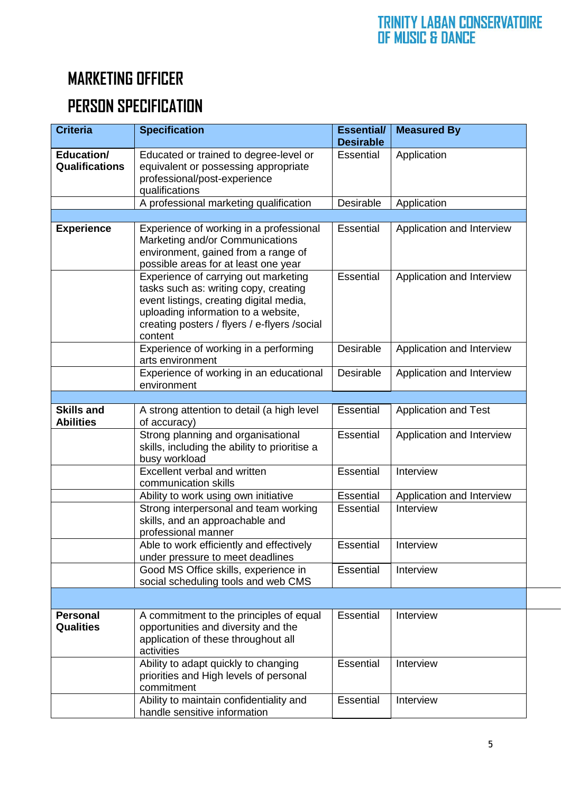## **MARKETING OFFICER**

## **PERSON SPECIFICATION**

| <b>Criteria</b>                       | <b>Specification</b>                                                                                                                                                                                                        | <b>Essential/</b><br><b>Desirable</b> | <b>Measured By</b>          |
|---------------------------------------|-----------------------------------------------------------------------------------------------------------------------------------------------------------------------------------------------------------------------------|---------------------------------------|-----------------------------|
| Education/<br><b>Qualifications</b>   | Educated or trained to degree-level or<br>equivalent or possessing appropriate<br>professional/post-experience<br>qualifications                                                                                            | Essential                             | Application                 |
|                                       | A professional marketing qualification                                                                                                                                                                                      | Desirable                             | Application                 |
|                                       |                                                                                                                                                                                                                             |                                       |                             |
| <b>Experience</b>                     | Experience of working in a professional<br>Marketing and/or Communications<br>environment, gained from a range of<br>possible areas for at least one year                                                                   | Essential                             | Application and Interview   |
|                                       | Experience of carrying out marketing<br>tasks such as: writing copy, creating<br>event listings, creating digital media,<br>uploading information to a website,<br>creating posters / flyers / e-flyers / social<br>content | <b>Essential</b>                      | Application and Interview   |
|                                       | Experience of working in a performing<br>arts environment                                                                                                                                                                   | <b>Desirable</b>                      | Application and Interview   |
|                                       | Experience of working in an educational<br>environment                                                                                                                                                                      | Desirable                             | Application and Interview   |
|                                       |                                                                                                                                                                                                                             |                                       |                             |
| <b>Skills and</b><br><b>Abilities</b> | A strong attention to detail (a high level<br>of accuracy)                                                                                                                                                                  | Essential                             | <b>Application and Test</b> |
|                                       | Strong planning and organisational<br>skills, including the ability to prioritise a<br>busy workload                                                                                                                        | Essential                             | Application and Interview   |
|                                       | Excellent verbal and written<br>communication skills                                                                                                                                                                        | <b>Essential</b>                      | Interview                   |
|                                       | Ability to work using own initiative                                                                                                                                                                                        | Essential                             | Application and Interview   |
|                                       | Strong interpersonal and team working<br>skills, and an approachable and<br>professional manner                                                                                                                             | Essential                             | Interview                   |
|                                       | Able to work efficiently and effectively<br>under pressure to meet deadlines                                                                                                                                                | Essential                             | Interview                   |
|                                       | Good MS Office skills, experience in<br>social scheduling tools and web CMS                                                                                                                                                 | Essential                             | Interview                   |
|                                       |                                                                                                                                                                                                                             |                                       |                             |
| <b>Personal</b><br><b>Qualities</b>   | A commitment to the principles of equal<br>opportunities and diversity and the<br>application of these throughout all<br>activities                                                                                         | Essential                             | Interview                   |
|                                       | Ability to adapt quickly to changing<br>priorities and High levels of personal<br>commitment                                                                                                                                | Essential                             | Interview                   |
|                                       | Ability to maintain confidentiality and<br>handle sensitive information                                                                                                                                                     | Essential                             | Interview                   |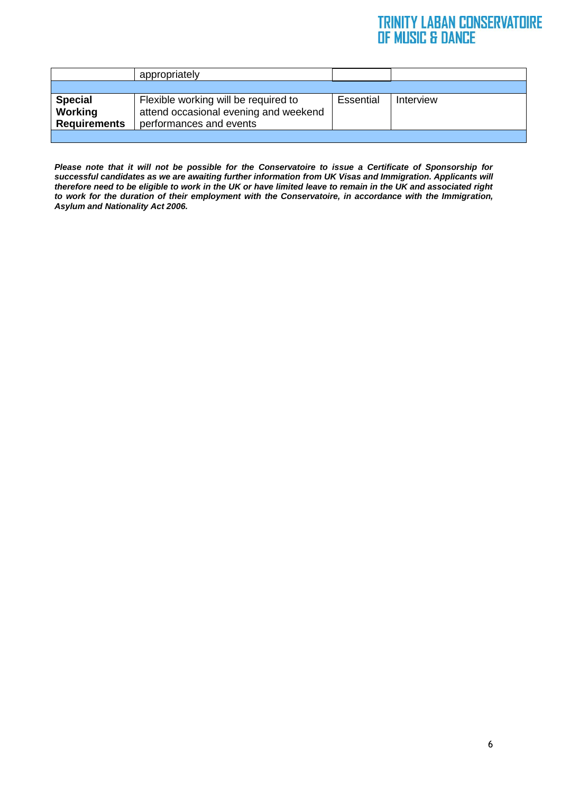#### **TRINITY LABAN CONSERVATOIRE** OF MUSIC & DANCE

|                                                         | appropriately                                                                                            |           |           |
|---------------------------------------------------------|----------------------------------------------------------------------------------------------------------|-----------|-----------|
|                                                         |                                                                                                          |           |           |
| <b>Special</b><br><b>Working</b><br><b>Requirements</b> | Flexible working will be required to<br>attend occasional evening and weekend<br>performances and events | Essential | Interview |
|                                                         |                                                                                                          |           |           |

*Please note that it will not be possible for the Conservatoire to issue a Certificate of Sponsorship for successful candidates as we are awaiting further information from UK Visas and Immigration. Applicants will therefore need to be eligible to work in the UK or have limited leave to remain in the UK and associated right to work for the duration of their employment with the Conservatoire, in accordance with the Immigration, Asylum and Nationality Act 2006.*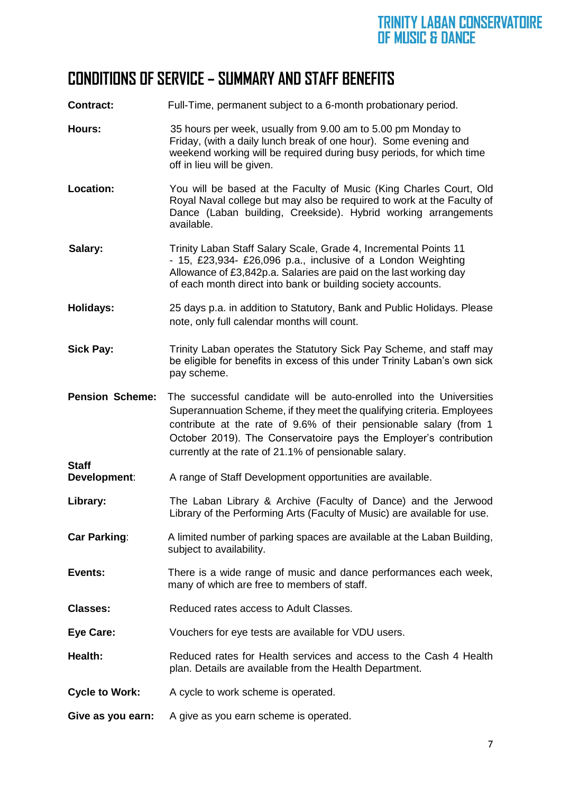### **CONDITIONS OF SERVICE – SUMMARY AND STAFF BENEFITS**

**Contract:** Full-Time, permanent subject to a 6-month probationary period.

- **Hours:** 35 hours per week, usually from 9.00 am to 5.00 pm Monday to Friday, (with a daily lunch break of one hour). Some evening and weekend working will be required during busy periods, for which time off in lieu will be given.
- **Location:** You will be based at the Faculty of Music (King Charles Court, Old Royal Naval college but may also be required to work at the Faculty of Dance (Laban building, Creekside). Hybrid working arrangements available.
- **Salary:** Trinity Laban Staff Salary Scale, Grade 4, Incremental Points 11 - 15, £23,934- £26,096 p.a., inclusive of a London Weighting Allowance of £3,842p.a. Salaries are paid on the last working day of each month direct into bank or building society accounts.
- **Holidays:** 25 days p.a. in addition to Statutory, Bank and Public Holidays. Please note, only full calendar months will count.
- **Sick Pay:** Trinity Laban operates the Statutory Sick Pay Scheme, and staff may be eligible for benefits in excess of this under Trinity Laban's own sick pay scheme.
- **Pension Scheme:** The successful candidate will be auto-enrolled into the Universities Superannuation Scheme, if they meet the qualifying criteria. Employees contribute at the rate of 9.6% of their pensionable salary (from 1 October 2019). The Conservatoire pays the Employer's contribution currently at the rate of 21.1% of pensionable salary.
- **Development:** A range of Staff Development opportunities are available.
- Library: The Laban Library & Archive (Faculty of Dance) and the Jerwood Library of the Performing Arts (Faculty of Music) are available for use.
- **Car Parking:** A limited number of parking spaces are available at the Laban Building, subject to availability.
- **Events:** There is a wide range of music and dance performances each week, many of which are free to members of staff.
- **Classes:** Reduced rates access to Adult Classes.

**Staff** 

- **Eye Care:** Vouchers for eye tests are available for VDU users.
- **Health:** Reduced rates for Health services and access to the Cash 4 Health plan. Details are available from the Health Department.
- **Cycle to Work:** A cycle to work scheme is operated.
- **Give as you earn:** A give as you earn scheme is operated.